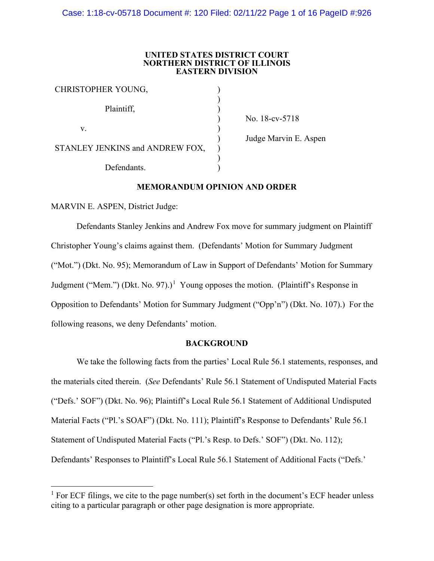#### **UNITED STATES DISTRICT COURT NORTHERN DISTRICT OF ILLINOIS EASTERN DIVISION**

| CHRISTOPHER YOUNG,              |  |
|---------------------------------|--|
| Plaintiff,                      |  |
| V.                              |  |
| STANLEY JENKINS and ANDREW FOX, |  |
| Defendants.                     |  |

) No. 18-cv-5718

) Judge Marvin E. Aspen

# **MEMORANDUM OPINION AND ORDER**

MARVIN E. ASPEN, District Judge:

Defendants Stanley Jenkins and Andrew Fox move for summary judgment on Plaintiff Christopher Young's claims against them. (Defendants' Motion for Summary Judgment ("Mot.") (Dkt. No. 95); Memorandum of Law in Support of Defendants' Motion for Summary Judgment ("Mem.") (Dkt. No. 97).)<sup>[1](#page-0-0)</sup> Young opposes the motion. (Plaintiff's Response in Opposition to Defendants' Motion for Summary Judgment ("Opp'n") (Dkt. No. 107).) For the following reasons, we deny Defendants' motion.

# **BACKGROUND**

We take the following facts from the parties' Local Rule 56.1 statements, responses, and the materials cited therein. (*See* Defendants' Rule 56.1 Statement of Undisputed Material Facts ("Defs.' SOF") (Dkt. No. 96); Plaintiff's Local Rule 56.1 Statement of Additional Undisputed Material Facts ("Pl.'s SOAF") (Dkt. No. 111); Plaintiff's Response to Defendants' Rule 56.1 Statement of Undisputed Material Facts ("Pl.'s Resp. to Defs.' SOF") (Dkt. No. 112); Defendants' Responses to Plaintiff's Local Rule 56.1 Statement of Additional Facts ("Defs.'

<span id="page-0-0"></span><sup>&</sup>lt;sup>1</sup> For ECF filings, we cite to the page number(s) set forth in the document's ECF header unless citing to a particular paragraph or other page designation is more appropriate.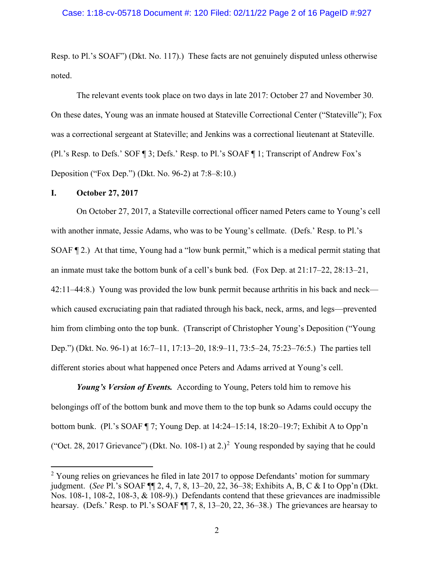Resp. to Pl.'s SOAF") (Dkt. No. 117).) These facts are not genuinely disputed unless otherwise noted.

The relevant events took place on two days in late 2017: October 27 and November 30. On these dates, Young was an inmate housed at Stateville Correctional Center ("Stateville"); Fox was a correctional sergeant at Stateville; and Jenkins was a correctional lieutenant at Stateville. (Pl.'s Resp. to Defs.' SOF ¶ 3; Defs.' Resp. to Pl.'s SOAF ¶ 1; Transcript of Andrew Fox's Deposition ("Fox Dep.") (Dkt. No. 96-2) at 7:8–8:10.)

## **I. October 27, 2017**

On October 27, 2017, a Stateville correctional officer named Peters came to Young's cell with another inmate, Jessie Adams, who was to be Young's cellmate. (Defs.' Resp. to Pl.'s SOAF ¶ 2.) At that time, Young had a "low bunk permit," which is a medical permit stating that an inmate must take the bottom bunk of a cell's bunk bed. (Fox Dep. at 21:17–22, 28:13–21, 42:11–44:8.) Young was provided the low bunk permit because arthritis in his back and neck which caused excruciating pain that radiated through his back, neck, arms, and legs—prevented him from climbing onto the top bunk. (Transcript of Christopher Young's Deposition ("Young Dep.") (Dkt. No. 96-1) at 16:7–11, 17:13–20, 18:9–11, 73:5–24, 75:23–76:5.) The parties tell different stories about what happened once Peters and Adams arrived at Young's cell.

*Young's Version of Events.* According to Young, Peters told him to remove his belongings off of the bottom bunk and move them to the top bunk so Adams could occupy the bottom bunk. (Pl.'s SOAF ¶ 7; Young Dep. at 14:24–15:14, 18:20–19:7; Exhibit A to Opp'n ("Oct. [2](#page-1-0)8, 2017 Grievance") (Dkt. No. 108-1) at 2.)<sup>2</sup> Young responded by saying that he could

<span id="page-1-0"></span> $2$  Young relies on grievances he filed in late 2017 to oppose Defendants' motion for summary judgment. (*See* Pl.'s SOAF ¶¶ 2, 4, 7, 8, 13–20, 22, 36–38; Exhibits A, B, C & I to Opp'n (Dkt. Nos. 108-1, 108-2, 108-3, & 108-9).) Defendants contend that these grievances are inadmissible hearsay. (Defs.' Resp. to Pl.'s SOAF  $\P$  7, 8, 13–20, 22, 36–38.) The grievances are hearsay to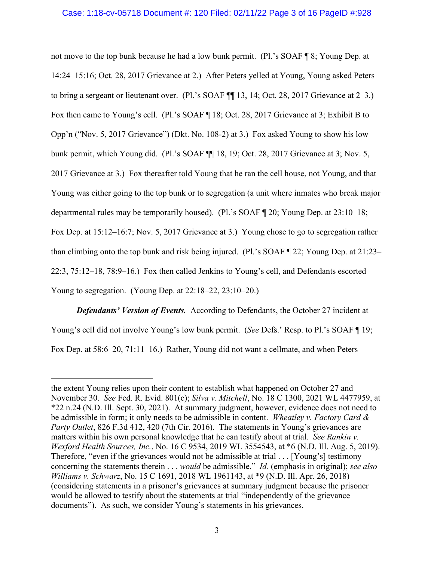## Case: 1:18-cv-05718 Document #: 120 Filed: 02/11/22 Page 3 of 16 PageID #:928

not move to the top bunk because he had a low bunk permit. (Pl.'s SOAF ¶ 8; Young Dep. at 14:24–15:16; Oct. 28, 2017 Grievance at 2.) After Peters yelled at Young, Young asked Peters to bring a sergeant or lieutenant over. (Pl.'s SOAF ¶¶ 13, 14; Oct. 28, 2017 Grievance at 2–3.) Fox then came to Young's cell. (Pl.'s SOAF ¶ 18; Oct. 28, 2017 Grievance at 3; Exhibit B to Opp'n ("Nov. 5, 2017 Grievance") (Dkt. No. 108-2) at 3.) Fox asked Young to show his low bunk permit, which Young did. (Pl.'s SOAF  $\P$  18, 19; Oct. 28, 2017 Grievance at 3; Nov. 5, 2017 Grievance at 3.) Fox thereafter told Young that he ran the cell house, not Young, and that Young was either going to the top bunk or to segregation (a unit where inmates who break major departmental rules may be temporarily housed). (Pl.'s SOAF ¶ 20; Young Dep. at 23:10–18; Fox Dep. at 15:12–16:7; Nov. 5, 2017 Grievance at 3.) Young chose to go to segregation rather than climbing onto the top bunk and risk being injured. (Pl.'s SOAF ¶ 22; Young Dep. at 21:23– 22:3, 75:12–18, 78:9–16.) Fox then called Jenkins to Young's cell, and Defendants escorted Young to segregation. (Young Dep. at 22:18–22, 23:10–20.)

*Defendants' Version of Events.* According to Defendants, the October 27 incident at Young's cell did not involve Young's low bunk permit. (*See* Defs.' Resp. to Pl.'s SOAF ¶ 19; Fox Dep. at 58:6–20, 71:11–16.) Rather, Young did not want a cellmate, and when Peters

the extent Young relies upon their content to establish what happened on October 27 and November 30. *See* Fed. R. Evid. 801(c); *Silva v. Mitchell*, No. 18 C 1300, 2021 WL 4477959, at \*22 n.24 (N.D. Ill. Sept. 30, 2021). At summary judgment, however, evidence does not need to be admissible in form; it only needs to be admissible in content. *Wheatley v. Factory Card & Party Outlet*, 826 F.3d 412, 420 (7th Cir. 2016). The statements in Young's grievances are matters within his own personal knowledge that he can testify about at trial. *See Rankin v. Wexford Health Sources, Inc.*, No. 16 C 9534, 2019 WL 3554543, at \*6 (N.D. Ill. Aug. 5, 2019). Therefore, "even if the grievances would not be admissible at trial . . . [Young's] testimony concerning the statements therein . . . *would* be admissible." *Id.* (emphasis in original); *see also Williams v. Schwarz*, No. 15 C 1691, 2018 WL 1961143, at \*9 (N.D. Ill. Apr. 26, 2018) (considering statements in a prisoner's grievances at summary judgment because the prisoner would be allowed to testify about the statements at trial "independently of the grievance documents"). As such, we consider Young's statements in his grievances.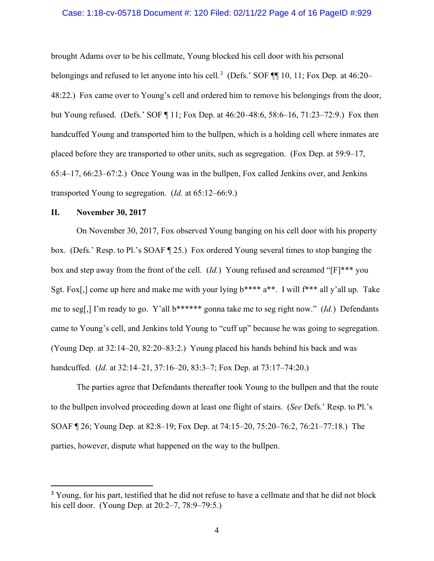### Case: 1:18-cv-05718 Document #: 120 Filed: 02/11/22 Page 4 of 16 PageID #:929

brought Adams over to be his cellmate, Young blocked his cell door with his personal belongings and refused to let anyone into his cell.<sup>[3](#page-3-0)</sup> (Defs.' SOF ¶¶ 10, 11; Fox Dep. at 46:20– 48:22.) Fox came over to Young's cell and ordered him to remove his belongings from the door, but Young refused. (Defs.' SOF ¶ 11; Fox Dep. at 46:20–48:6, 58:6–16, 71:23–72:9.) Fox then handcuffed Young and transported him to the bullpen, which is a holding cell where inmates are placed before they are transported to other units, such as segregation. (Fox Dep. at 59:9–17, 65:4–17, 66:23–67:2.) Once Young was in the bullpen, Fox called Jenkins over, and Jenkins transported Young to segregation. (*Id.* at 65:12–66:9.)

## **II. November 30, 2017**

On November 30, 2017, Fox observed Young banging on his cell door with his property box. (Defs.' Resp. to Pl.'s SOAF ¶ 25.) Fox ordered Young several times to stop banging the box and step away from the front of the cell. (*Id.*) Young refused and screamed "[F]\*\*\* you Sgt. Fox[,] come up here and make me with your lying  $b***a**$ . I will  $f***$  all y'all up. Take me to seg[,] I'm ready to go. Y'all b\*\*\*\*\*\* gonna take me to seg right now." (*Id.*) Defendants came to Young's cell, and Jenkins told Young to "cuff up" because he was going to segregation. (Young Dep. at 32:14–20, 82:20–83:2.) Young placed his hands behind his back and was handcuffed. (*Id.* at 32:14–21, 37:16–20, 83:3–7; Fox Dep. at 73:17–74:20.)

The parties agree that Defendants thereafter took Young to the bullpen and that the route to the bullpen involved proceeding down at least one flight of stairs. (*See* Defs.' Resp. to Pl.'s SOAF ¶ 26; Young Dep. at 82:8–19; Fox Dep. at 74:15–20, 75:20–76:2, 76:21–77:18.) The parties, however, dispute what happened on the way to the bullpen.

<span id="page-3-0"></span><sup>&</sup>lt;sup>3</sup> Young, for his part, testified that he did not refuse to have a cellmate and that he did not block his cell door. (Young Dep. at 20:2–7, 78:9–79:5.)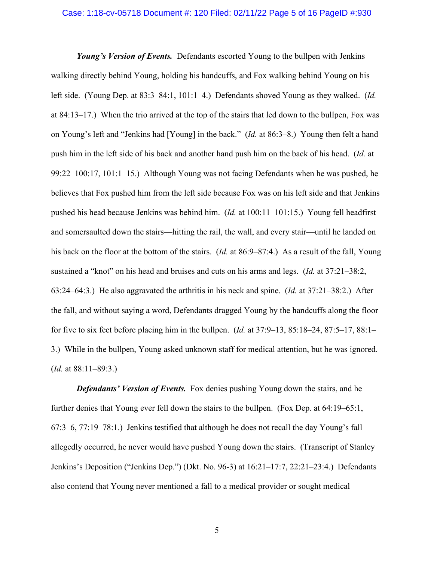### Case: 1:18-cv-05718 Document #: 120 Filed: 02/11/22 Page 5 of 16 PageID #:930

*Young's Version of Events.* Defendants escorted Young to the bullpen with Jenkins walking directly behind Young, holding his handcuffs, and Fox walking behind Young on his left side. (Young Dep. at 83:3–84:1, 101:1–4.) Defendants shoved Young as they walked. (*Id.* at 84:13–17.) When the trio arrived at the top of the stairs that led down to the bullpen, Fox was on Young's left and "Jenkins had [Young] in the back." (*Id.* at 86:3–8.) Young then felt a hand push him in the left side of his back and another hand push him on the back of his head. (*Id.* at 99:22–100:17, 101:1–15.) Although Young was not facing Defendants when he was pushed, he believes that Fox pushed him from the left side because Fox was on his left side and that Jenkins pushed his head because Jenkins was behind him. (*Id.* at 100:11–101:15.) Young fell headfirst and somersaulted down the stairs—hitting the rail, the wall, and every stair—until he landed on his back on the floor at the bottom of the stairs. (*Id.* at 86:9–87:4.) As a result of the fall, Young sustained a "knot" on his head and bruises and cuts on his arms and legs. (*Id.* at 37:21–38:2, 63:24–64:3.) He also aggravated the arthritis in his neck and spine. (*Id.* at 37:21–38:2.) After the fall, and without saying a word, Defendants dragged Young by the handcuffs along the floor for five to six feet before placing him in the bullpen. (*Id.* at 37:9–13, 85:18–24, 87:5–17, 88:1– 3.) While in the bullpen, Young asked unknown staff for medical attention, but he was ignored. (*Id.* at 88:11–89:3.)

*Defendants' Version of Events.* Fox denies pushing Young down the stairs, and he further denies that Young ever fell down the stairs to the bullpen. (Fox Dep. at 64:19–65:1, 67:3–6, 77:19–78:1.) Jenkins testified that although he does not recall the day Young's fall allegedly occurred, he never would have pushed Young down the stairs. (Transcript of Stanley Jenkins's Deposition ("Jenkins Dep.") (Dkt. No. 96-3) at 16:21–17:7, 22:21–23:4.) Defendants also contend that Young never mentioned a fall to a medical provider or sought medical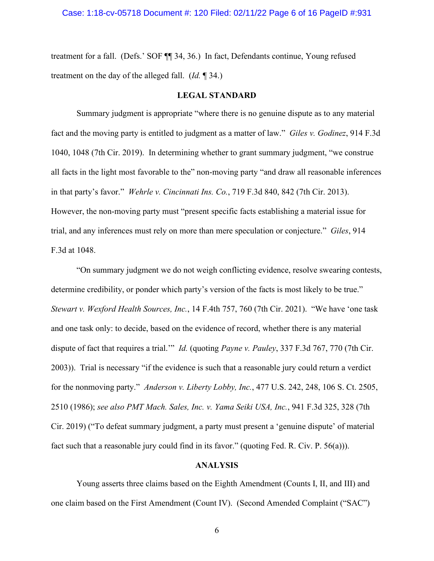treatment for a fall. (Defs.' SOF ¶¶ 34, 36.) In fact, Defendants continue, Young refused treatment on the day of the alleged fall. (*Id.* ¶ 34.)

## **LEGAL STANDARD**

Summary judgment is appropriate "where there is no genuine dispute as to any material fact and the moving party is entitled to judgment as a matter of law." *Giles v. Godinez*, 914 F.3d 1040, 1048 (7th Cir. 2019). In determining whether to grant summary judgment, "we construe all facts in the light most favorable to the" non-moving party "and draw all reasonable inferences in that party's favor." *Wehrle v. Cincinnati Ins. Co.*, 719 F.3d 840, 842 (7th Cir. 2013). However, the non-moving party must "present specific facts establishing a material issue for trial, and any inferences must rely on more than mere speculation or conjecture." *Giles*, 914 F.3d at 1048.

"On summary judgment we do not weigh conflicting evidence, resolve swearing contests, determine credibility, or ponder which party's version of the facts is most likely to be true." *Stewart v. Wexford Health Sources, Inc.*, 14 F.4th 757, 760 (7th Cir. 2021). "We have 'one task and one task only: to decide, based on the evidence of record, whether there is any material dispute of fact that requires a trial.'" *Id.* (quoting *Payne v. Pauley*, 337 F.3d 767, 770 (7th Cir. 2003)). Trial is necessary "if the evidence is such that a reasonable jury could return a verdict for the nonmoving party." *Anderson v. Liberty Lobby, Inc.*, 477 U.S. 242, 248, 106 S. Ct. 2505, 2510 (1986); *see also PMT Mach. Sales, Inc. v. Yama Seiki USA, Inc.*, 941 F.3d 325, 328 (7th Cir. 2019) ("To defeat summary judgment, a party must present a 'genuine dispute' of material fact such that a reasonable jury could find in its favor." (quoting Fed. R. Civ. P. 56(a))).

# **ANALYSIS**

Young asserts three claims based on the Eighth Amendment (Counts I, II, and III) and one claim based on the First Amendment (Count IV). (Second Amended Complaint ("SAC")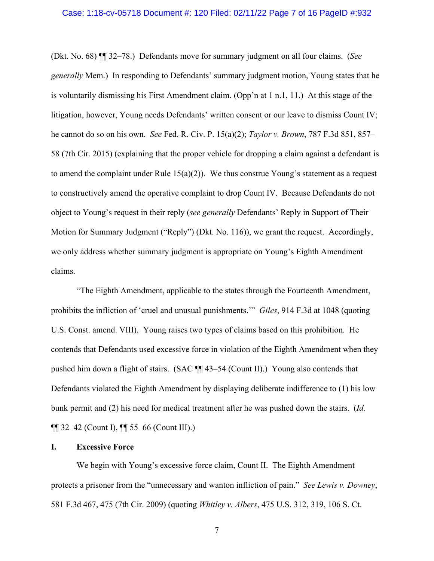### Case: 1:18-cv-05718 Document #: 120 Filed: 02/11/22 Page 7 of 16 PageID #:932

(Dkt. No. 68) ¶¶ 32–78.) Defendants move for summary judgment on all four claims. (*See generally* Mem.) In responding to Defendants' summary judgment motion, Young states that he is voluntarily dismissing his First Amendment claim. (Opp'n at 1 n.1, 11.) At this stage of the litigation, however, Young needs Defendants' written consent or our leave to dismiss Count IV; he cannot do so on his own. *See* Fed. R. Civ. P. 15(a)(2); *Taylor v. Brown*, 787 F.3d 851, 857– 58 (7th Cir. 2015) (explaining that the proper vehicle for dropping a claim against a defendant is to amend the complaint under Rule  $15(a)(2)$ ). We thus construe Young's statement as a request to constructively amend the operative complaint to drop Count IV. Because Defendants do not object to Young's request in their reply (*see generally* Defendants' Reply in Support of Their Motion for Summary Judgment ("Reply") (Dkt. No. 116)), we grant the request. Accordingly, we only address whether summary judgment is appropriate on Young's Eighth Amendment claims.

"The Eighth Amendment, applicable to the states through the Fourteenth Amendment, prohibits the infliction of 'cruel and unusual punishments.'" *Giles*, 914 F.3d at 1048 (quoting U.S. Const. amend. VIII). Young raises two types of claims based on this prohibition. He contends that Defendants used excessive force in violation of the Eighth Amendment when they pushed him down a flight of stairs. (SAC ¶¶ 43–54 (Count II).) Young also contends that Defendants violated the Eighth Amendment by displaying deliberate indifference to (1) his low bunk permit and (2) his need for medical treatment after he was pushed down the stairs. (*Id.*  $\P\P$  32–42 (Count I),  $\P\P$  55–66 (Count III).)

## **I. Excessive Force**

We begin with Young's excessive force claim, Count II. The Eighth Amendment protects a prisoner from the "unnecessary and wanton infliction of pain." *See Lewis v. Downey*, 581 F.3d 467, 475 (7th Cir. 2009) (quoting *Whitley v. Albers*, 475 U.S. 312, 319, 106 S. Ct.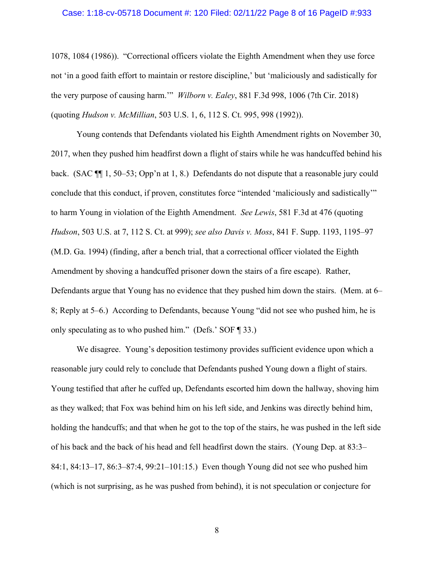### Case: 1:18-cv-05718 Document #: 120 Filed: 02/11/22 Page 8 of 16 PageID #:933

1078, 1084 (1986)). "Correctional officers violate the Eighth Amendment when they use force not 'in a good faith effort to maintain or restore discipline,' but 'maliciously and sadistically for the very purpose of causing harm.'" *Wilborn v. Ealey*, 881 F.3d 998, 1006 (7th Cir. 2018) (quoting *Hudson v. McMillian*, 503 U.S. 1, 6, 112 S. Ct. 995, 998 (1992)).

Young contends that Defendants violated his Eighth Amendment rights on November 30, 2017, when they pushed him headfirst down a flight of stairs while he was handcuffed behind his back. (SAC ¶¶ 1, 50–53; Opp'n at 1, 8.) Defendants do not dispute that a reasonable jury could conclude that this conduct, if proven, constitutes force "intended 'maliciously and sadistically'" to harm Young in violation of the Eighth Amendment. *See Lewis*, 581 F.3d at 476 (quoting *Hudson*, 503 U.S. at 7, 112 S. Ct. at 999); *see also Davis v. Moss*, 841 F. Supp. 1193, 1195–97 (M.D. Ga. 1994) (finding, after a bench trial, that a correctional officer violated the Eighth Amendment by shoving a handcuffed prisoner down the stairs of a fire escape). Rather, Defendants argue that Young has no evidence that they pushed him down the stairs. (Mem. at 6– 8; Reply at 5–6.) According to Defendants, because Young "did not see who pushed him, he is only speculating as to who pushed him." (Defs.' SOF ¶ 33.)

We disagree. Young's deposition testimony provides sufficient evidence upon which a reasonable jury could rely to conclude that Defendants pushed Young down a flight of stairs. Young testified that after he cuffed up, Defendants escorted him down the hallway, shoving him as they walked; that Fox was behind him on his left side, and Jenkins was directly behind him, holding the handcuffs; and that when he got to the top of the stairs, he was pushed in the left side of his back and the back of his head and fell headfirst down the stairs. (Young Dep. at 83:3– 84:1, 84:13–17, 86:3–87:4, 99:21–101:15.) Even though Young did not see who pushed him (which is not surprising, as he was pushed from behind), it is not speculation or conjecture for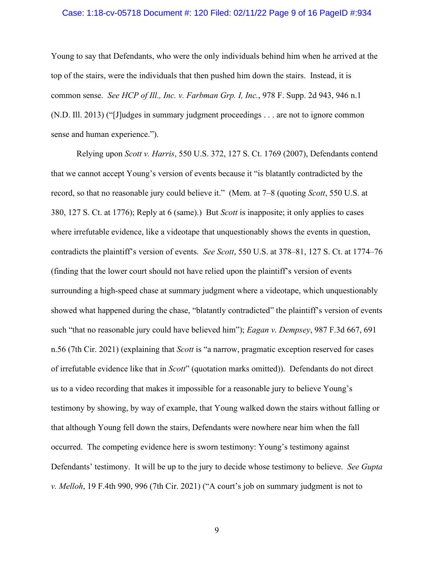### Case: 1:18-cv-05718 Document #: 120 Filed: 02/11/22 Page 9 of 16 PageID #:934

Young to say that Defendants, who were the only individuals behind him when he arrived at the top of the stairs, were the individuals that then pushed him down the stairs. Instead, it is common sense. *See HCP of Ill., Inc. v. Farbman Grp. I, Inc.*, 978 F. Supp. 2d 943, 946 n.1 (N.D. Ill. 2013) ("[J]udges in summary judgment proceedings . . . are not to ignore common sense and human experience.").

Relying upon *Scott v. Harris*, 550 U.S. 372, 127 S. Ct. 1769 (2007), Defendants contend that we cannot accept Young's version of events because it "is blatantly contradicted by the record, so that no reasonable jury could believe it." (Mem. at 7–8 (quoting *Scott*, 550 U.S. at 380, 127 S. Ct. at 1776); Reply at 6 (same).) But *Scott* is inapposite; it only applies to cases where irrefutable evidence, like a videotape that unquestionably shows the events in question, contradicts the plaintiff's version of events. *See Scott*, 550 U.S. at 378–81, 127 S. Ct. at 1774–76 (finding that the lower court should not have relied upon the plaintiff's version of events surrounding a high-speed chase at summary judgment where a videotape, which unquestionably showed what happened during the chase, "blatantly contradicted" the plaintiff's version of events such "that no reasonable jury could have believed him"); *Eagan v. Dempsey*, 987 F.3d 667, 691 n.56 (7th Cir. 2021) (explaining that *Scott* is "a narrow, pragmatic exception reserved for cases of irrefutable evidence like that in *Scott*" (quotation marks omitted)). Defendants do not direct us to a video recording that makes it impossible for a reasonable jury to believe Young's testimony by showing, by way of example, that Young walked down the stairs without falling or that although Young fell down the stairs, Defendants were nowhere near him when the fall occurred. The competing evidence here is sworn testimony: Young's testimony against Defendants' testimony. It will be up to the jury to decide whose testimony to believe. *See Gupta v. Melloh*, 19 F.4th 990, 996 (7th Cir. 2021) ("A court's job on summary judgment is not to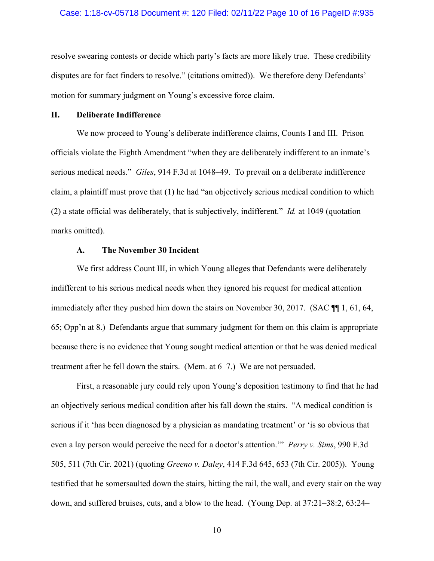#### Case: 1:18-cv-05718 Document #: 120 Filed: 02/11/22 Page 10 of 16 PageID #:935

resolve swearing contests or decide which party's facts are more likely true. These credibility disputes are for fact finders to resolve." (citations omitted)). We therefore deny Defendants' motion for summary judgment on Young's excessive force claim.

## **II. Deliberate Indifference**

We now proceed to Young's deliberate indifference claims, Counts I and III. Prison officials violate the Eighth Amendment "when they are deliberately indifferent to an inmate's serious medical needs." *Giles*, 914 F.3d at 1048–49. To prevail on a deliberate indifference claim, a plaintiff must prove that (1) he had "an objectively serious medical condition to which (2) a state official was deliberately, that is subjectively, indifferent." *Id.* at 1049 (quotation marks omitted).

## **A. The November 30 Incident**

We first address Count III, in which Young alleges that Defendants were deliberately indifferent to his serious medical needs when they ignored his request for medical attention immediately after they pushed him down the stairs on November 30, 2017. (SAC ¶¶ 1, 61, 64, 65; Opp'n at 8.) Defendants argue that summary judgment for them on this claim is appropriate because there is no evidence that Young sought medical attention or that he was denied medical treatment after he fell down the stairs. (Mem. at 6–7.) We are not persuaded.

First, a reasonable jury could rely upon Young's deposition testimony to find that he had an objectively serious medical condition after his fall down the stairs. "A medical condition is serious if it 'has been diagnosed by a physician as mandating treatment' or 'is so obvious that even a lay person would perceive the need for a doctor's attention.'" *Perry v. Sims*, 990 F.3d 505, 511 (7th Cir. 2021) (quoting *Greeno v. Daley*, 414 F.3d 645, 653 (7th Cir. 2005)). Young testified that he somersaulted down the stairs, hitting the rail, the wall, and every stair on the way down, and suffered bruises, cuts, and a blow to the head. (Young Dep. at 37:21–38:2, 63:24–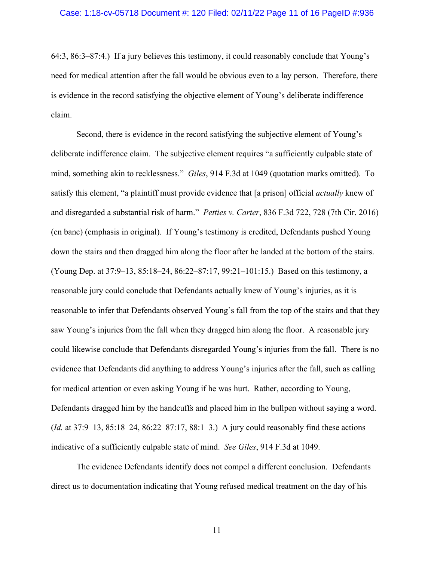64:3, 86:3–87:4.) If a jury believes this testimony, it could reasonably conclude that Young's need for medical attention after the fall would be obvious even to a lay person. Therefore, there is evidence in the record satisfying the objective element of Young's deliberate indifference claim.

Second, there is evidence in the record satisfying the subjective element of Young's deliberate indifference claim. The subjective element requires "a sufficiently culpable state of mind, something akin to recklessness." *Giles*, 914 F.3d at 1049 (quotation marks omitted). To satisfy this element, "a plaintiff must provide evidence that [a prison] official *actually* knew of and disregarded a substantial risk of harm." *Petties v. Carter*, 836 F.3d 722, 728 (7th Cir. 2016) (en banc) (emphasis in original). If Young's testimony is credited, Defendants pushed Young down the stairs and then dragged him along the floor after he landed at the bottom of the stairs. (Young Dep. at 37:9–13, 85:18–24, 86:22–87:17, 99:21–101:15.) Based on this testimony, a reasonable jury could conclude that Defendants actually knew of Young's injuries, as it is reasonable to infer that Defendants observed Young's fall from the top of the stairs and that they saw Young's injuries from the fall when they dragged him along the floor. A reasonable jury could likewise conclude that Defendants disregarded Young's injuries from the fall. There is no evidence that Defendants did anything to address Young's injuries after the fall, such as calling for medical attention or even asking Young if he was hurt. Rather, according to Young, Defendants dragged him by the handcuffs and placed him in the bullpen without saying a word. (*Id.* at 37:9–13, 85:18–24, 86:22–87:17, 88:1–3.) A jury could reasonably find these actions indicative of a sufficiently culpable state of mind. *See Giles*, 914 F.3d at 1049.

The evidence Defendants identify does not compel a different conclusion. Defendants direct us to documentation indicating that Young refused medical treatment on the day of his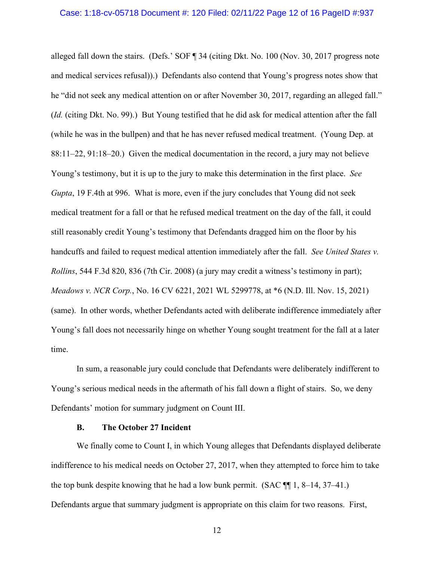#### Case: 1:18-cv-05718 Document #: 120 Filed: 02/11/22 Page 12 of 16 PageID #:937

alleged fall down the stairs. (Defs.' SOF ¶ 34 (citing Dkt. No. 100 (Nov. 30, 2017 progress note and medical services refusal)).) Defendants also contend that Young's progress notes show that he "did not seek any medical attention on or after November 30, 2017, regarding an alleged fall." (*Id.* (citing Dkt. No. 99).) But Young testified that he did ask for medical attention after the fall (while he was in the bullpen) and that he has never refused medical treatment. (Young Dep. at 88:11–22, 91:18–20.) Given the medical documentation in the record, a jury may not believe Young's testimony, but it is up to the jury to make this determination in the first place. *See Gupta*, 19 F.4th at 996. What is more, even if the jury concludes that Young did not seek medical treatment for a fall or that he refused medical treatment on the day of the fall, it could still reasonably credit Young's testimony that Defendants dragged him on the floor by his handcuffs and failed to request medical attention immediately after the fall. *See United States v. Rollins*, 544 F.3d 820, 836 (7th Cir. 2008) (a jury may credit a witness's testimony in part); *Meadows v. NCR Corp.*, No. 16 CV 6221, 2021 WL 5299778, at \*6 (N.D. Ill. Nov. 15, 2021) (same). In other words, whether Defendants acted with deliberate indifference immediately after Young's fall does not necessarily hinge on whether Young sought treatment for the fall at a later time.

In sum, a reasonable jury could conclude that Defendants were deliberately indifferent to Young's serious medical needs in the aftermath of his fall down a flight of stairs. So, we deny Defendants' motion for summary judgment on Count III.

### **B. The October 27 Incident**

We finally come to Count I, in which Young alleges that Defendants displayed deliberate indifference to his medical needs on October 27, 2017, when they attempted to force him to take the top bunk despite knowing that he had a low bunk permit. (SAC ¶¶ 1, 8–14, 37–41.) Defendants argue that summary judgment is appropriate on this claim for two reasons. First,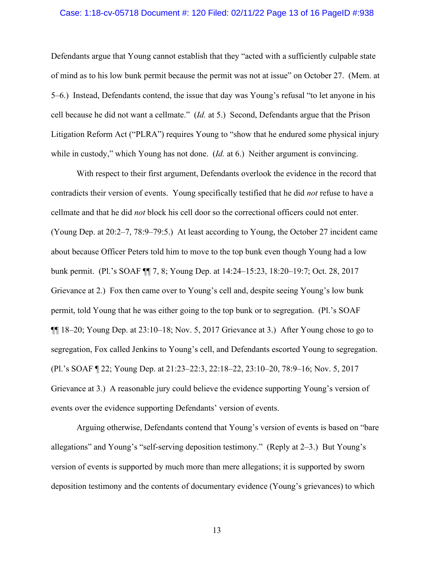### Case: 1:18-cv-05718 Document #: 120 Filed: 02/11/22 Page 13 of 16 PageID #:938

Defendants argue that Young cannot establish that they "acted with a sufficiently culpable state of mind as to his low bunk permit because the permit was not at issue" on October 27. (Mem. at 5–6.) Instead, Defendants contend, the issue that day was Young's refusal "to let anyone in his cell because he did not want a cellmate." (*Id.* at 5.) Second, Defendants argue that the Prison Litigation Reform Act ("PLRA") requires Young to "show that he endured some physical injury while in custody," which Young has not done. (*Id.* at 6.) Neither argument is convincing.

With respect to their first argument, Defendants overlook the evidence in the record that contradicts their version of events. Young specifically testified that he did *not* refuse to have a cellmate and that he did *not* block his cell door so the correctional officers could not enter. (Young Dep. at 20:2–7, 78:9–79:5.) At least according to Young, the October 27 incident came about because Officer Peters told him to move to the top bunk even though Young had a low bunk permit. (Pl.'s SOAF ¶¶ 7, 8; Young Dep. at 14:24–15:23, 18:20–19:7; Oct. 28, 2017 Grievance at 2.) Fox then came over to Young's cell and, despite seeing Young's low bunk permit, told Young that he was either going to the top bunk or to segregation. (Pl.'s SOAF ¶¶ 18–20; Young Dep. at 23:10–18; Nov. 5, 2017 Grievance at 3.) After Young chose to go to segregation, Fox called Jenkins to Young's cell, and Defendants escorted Young to segregation. (Pl.'s SOAF ¶ 22; Young Dep. at 21:23–22:3, 22:18–22, 23:10–20, 78:9–16; Nov. 5, 2017 Grievance at 3.) A reasonable jury could believe the evidence supporting Young's version of events over the evidence supporting Defendants' version of events.

Arguing otherwise, Defendants contend that Young's version of events is based on "bare allegations" and Young's "self-serving deposition testimony." (Reply at 2–3.) But Young's version of events is supported by much more than mere allegations; it is supported by sworn deposition testimony and the contents of documentary evidence (Young's grievances) to which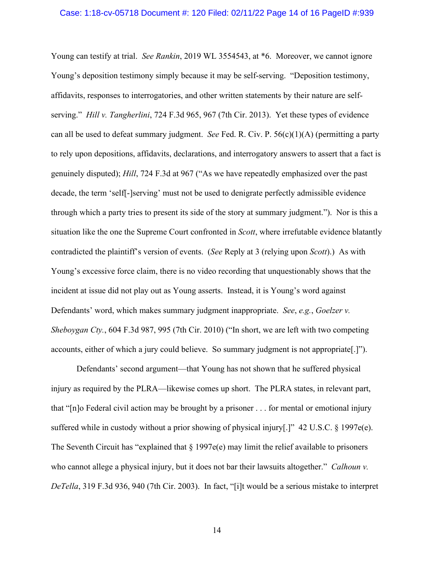#### Case: 1:18-cv-05718 Document #: 120 Filed: 02/11/22 Page 14 of 16 PageID #:939

Young can testify at trial. *See Rankin*, 2019 WL 3554543, at \*6. Moreover, we cannot ignore Young's deposition testimony simply because it may be self-serving. "Deposition testimony, affidavits, responses to interrogatories, and other written statements by their nature are selfserving." *Hill v. Tangherlini*, 724 F.3d 965, 967 (7th Cir. 2013). Yet these types of evidence can all be used to defeat summary judgment. *See* Fed. R. Civ. P.  $56(c)(1)(A)$  (permitting a party to rely upon depositions, affidavits, declarations, and interrogatory answers to assert that a fact is genuinely disputed); *Hill*, 724 F.3d at 967 ("As we have repeatedly emphasized over the past decade, the term 'self[-]serving' must not be used to denigrate perfectly admissible evidence through which a party tries to present its side of the story at summary judgment."). Nor is this a situation like the one the Supreme Court confronted in *Scott*, where irrefutable evidence blatantly contradicted the plaintiff's version of events. (*See* Reply at 3 (relying upon *Scott*).) As with Young's excessive force claim, there is no video recording that unquestionably shows that the incident at issue did not play out as Young asserts. Instead, it is Young's word against Defendants' word, which makes summary judgment inappropriate. *See*, *e.g.*, *Goelzer v. Sheboygan Cty.*, 604 F.3d 987, 995 (7th Cir. 2010) ("In short, we are left with two competing accounts, either of which a jury could believe. So summary judgment is not appropriate[.]").

Defendants' second argument—that Young has not shown that he suffered physical injury as required by the PLRA—likewise comes up short. The PLRA states, in relevant part, that "[n]o Federal civil action may be brought by a prisoner . . . for mental or emotional injury suffered while in custody without a prior showing of physical injury[.]" 42 U.S.C. § 1997e(e). The Seventh Circuit has "explained that  $\S 1997e(e)$  may limit the relief available to prisoners who cannot allege a physical injury, but it does not bar their lawsuits altogether." *Calhoun v. DeTella*, 319 F.3d 936, 940 (7th Cir. 2003). In fact, "[i]t would be a serious mistake to interpret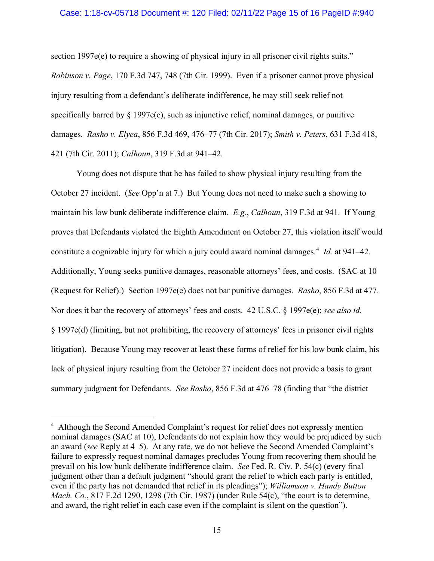#### Case: 1:18-cv-05718 Document #: 120 Filed: 02/11/22 Page 15 of 16 PageID #:940

section 1997e(e) to require a showing of physical injury in all prisoner civil rights suits." *Robinson v. Page*, 170 F.3d 747, 748 (7th Cir. 1999). Even if a prisoner cannot prove physical injury resulting from a defendant's deliberate indifference, he may still seek relief not specifically barred by § 1997e(e), such as injunctive relief, nominal damages, or punitive damages. *Rasho v. Elyea*, 856 F.3d 469, 476–77 (7th Cir. 2017); *Smith v. Peters*, 631 F.3d 418, 421 (7th Cir. 2011); *Calhoun*, 319 F.3d at 941–42.

Young does not dispute that he has failed to show physical injury resulting from the October 27 incident. (*See* Opp'n at 7.) But Young does not need to make such a showing to maintain his low bunk deliberate indifference claim. *E.g.*, *Calhoun*, 319 F.3d at 941. If Young proves that Defendants violated the Eighth Amendment on October 27, this violation itself would constitute a cognizable injury for which a jury could award nominal damages.[4](#page-14-0) *Id.* at 941–42. Additionally, Young seeks punitive damages, reasonable attorneys' fees, and costs. (SAC at 10 (Request for Relief).) Section 1997e(e) does not bar punitive damages. *Rasho*, 856 F.3d at 477. Nor does it bar the recovery of attorneys' fees and costs. 42 U.S.C. § 1997e(e); *see also id.* § 1997e(d) (limiting, but not prohibiting, the recovery of attorneys' fees in prisoner civil rights litigation). Because Young may recover at least these forms of relief for his low bunk claim, his lack of physical injury resulting from the October 27 incident does not provide a basis to grant summary judgment for Defendants. *See Rasho*, 856 F.3d at 476–78 (finding that "the district

<span id="page-14-0"></span><sup>&</sup>lt;sup>4</sup> Although the Second Amended Complaint's request for relief does not expressly mention nominal damages (SAC at 10), Defendants do not explain how they would be prejudiced by such an award (*see* Reply at 4–5). At any rate, we do not believe the Second Amended Complaint's failure to expressly request nominal damages precludes Young from recovering them should he prevail on his low bunk deliberate indifference claim. *See* Fed. R. Civ. P. 54(c) (every final judgment other than a default judgment "should grant the relief to which each party is entitled, even if the party has not demanded that relief in its pleadings"); *Williamson v. Handy Button Mach. Co.*, 817 F.2d 1290, 1298 (7th Cir. 1987) (under Rule 54(c), "the court is to determine, and award, the right relief in each case even if the complaint is silent on the question").